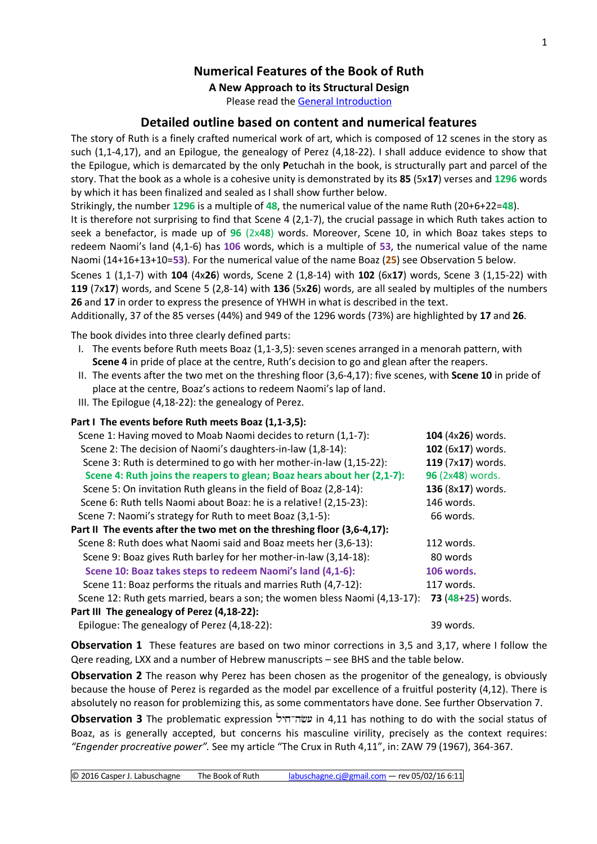## **Numerical Features of the Book of Ruth**

**A New Approach to its Structural Design**

Please read the [General Introduction](http://www.labuschagne.nl/aspects.pdf)

### **Detailed outline based on content and numerical features**

The story of Ruth is a finely crafted numerical work of art, which is composed of 12 scenes in the story as such (1,1-4,17), and an Epilogue, the genealogy of Perez (4,18-22). I shall adduce evidence to show that the Epilogue, which is demarcated by the only **P**etuchah in the book, is structurally part and parcel of the story. That the book as a whole is a cohesive unity is demonstrated by its **85** (5x**17**) verses and **1296** words by which it has been finalized and sealed as I shall show further below.

Strikingly, the number **1296** is a multiple of **48**, the numerical value of the name Ruth (20+6+22=**48**).

It is therefore not surprising to find that Scene 4 (2,1-7), the crucial passage in which Ruth takes action to seek a benefactor, is made up of **96** (2x**48**) words. Moreover, Scene 10, in which Boaz takes steps to redeem Naomi's land (4,1-6) has **106** words, which is a multiple of **53**, the numerical value of the name Naomi (14+16+13+10=**53**). For the numerical value of the name Boaz (**25**) see Observation 5 below.

Scenes 1 (1,1-7) with **104** (4x**26**) words, Scene 2 (1,8-14) with **102** (6x**17**) words, Scene 3 (1,15-22) with **119** (7x**17**) words, and Scene 5 (2,8-14) with **136** (5x**26**) words, are all sealed by multiples of the numbers **26** and **17** in order to express the presence of YHWH in what is described in the text.

Additionally, 37 of the 85 verses (44%) and 949 of the 1296 words (73%) are highlighted by **17** and **26**.

The book divides into three clearly defined parts:

- I. The events before Ruth meets Boaz (1,1-3,5): seven scenes arranged in a menorah pattern, with **Scene 4** in pride of place at the centre, Ruth's decision to go and glean after the reapers.
- II. The events after the two met on the threshing floor (3,6-4,17): five scenes, with **Scene 10** in pride of place at the centre, Boaz's actions to redeem Naomi's lap of land.
- III. The Epilogue (4,18-22): the genealogy of Perez.

| Part I The events before Ruth meets Boaz (1,1-3,5):                        |                   |
|----------------------------------------------------------------------------|-------------------|
| Scene 1: Having moved to Moab Naomi decides to return (1,1-7):             | 104 (4x26) words. |
| Scene 2: The decision of Naomi's daughters-in-law (1,8-14):                | 102 (6x17) words. |
| Scene 3: Ruth is determined to go with her mother-in-law (1,15-22):        | 119 (7x17) words. |
| Scene 4: Ruth joins the reapers to glean; Boaz hears about her (2,1-7):    | 96 (2x48) words.  |
| Scene 5: On invitation Ruth gleans in the field of Boaz (2,8-14):          | 136 (8x17) words. |
| Scene 6: Ruth tells Naomi about Boaz: he is a relative! (2,15-23):         | 146 words.        |
| Scene 7: Naomi's strategy for Ruth to meet Boaz (3,1-5):                   | 66 words.         |
| Part II The events after the two met on the threshing floor (3,6-4,17):    |                   |
| Scene 8: Ruth does what Naomi said and Boaz meets her (3,6-13):            | 112 words.        |
| Scene 9: Boaz gives Ruth barley for her mother-in-law (3,14-18):           | 80 words          |
| Scene 10: Boaz takes steps to redeem Naomi's land (4,1-6):                 | 106 words.        |
| Scene 11: Boaz performs the rituals and marries Ruth (4,7-12):             | 117 words.        |
| Scene 12: Ruth gets married, bears a son; the women bless Naomi (4,13-17): | 73 (48+25) words. |
| Part III The genealogy of Perez (4,18-22):                                 |                   |
| Epilogue: The genealogy of Perez (4,18-22):                                | 39 words.         |

**Observation 1** These features are based on two minor corrections in 3,5 and 3,17, where I follow the Qere reading, LXX and a number of Hebrew manuscripts – see BHS and the table below.

**Observation 2** The reason why Perez has been chosen as the progenitor of the genealogy, is obviously because the house of Perez is regarded as the model par excellence of a fruitful posterity (4,12). There is absolutely no reason for problemizing this, as some commentators have done. See further Observation 7.

**Observation 3** The problematic expression in 4,11 has nothing to do with the social status of Boaz, as is generally accepted, but concerns his masculine virility, precisely as the context requires: *"Engender procreative power".* See my article "The Crux in Ruth 4,11", in: ZAW 79 (1967), 364-367.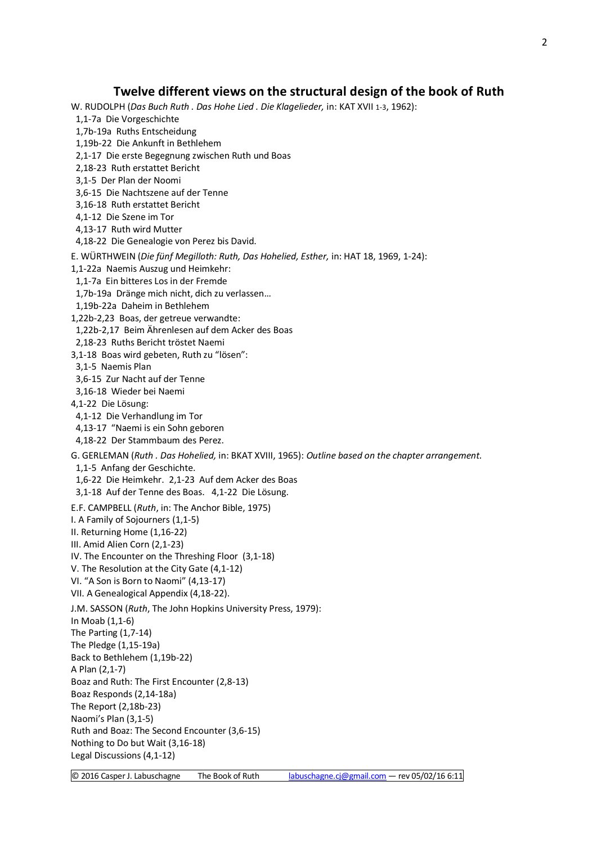#### **Twelve different views on the structural design of the book of Ruth**

W. RUDOLPH (*Das Buch Ruth . Das Hohe Lied . Die Klagelieder,* in: KAT XVII 1-3, 1962):

1,1-7a Die Vorgeschichte

1,7b-19a Ruths Entscheidung

1,19b-22 Die Ankunft in Bethlehem

- 2,1-17 Die erste Begegnung zwischen Ruth und Boas
- 2,18-23 Ruth erstattet Bericht
- 3,1-5 Der Plan der Noomi

3,6-15 Die Nachtszene auf der Tenne

- 3,16-18 Ruth erstattet Bericht
- 4,1-12 Die Szene im Tor
- 4,13-17 Ruth wird Mutter

4,18-22 Die Genealogie von Perez bis David.

E. WÜRTHWEIN (*Die fünf Megilloth: Ruth, Das Hohelied, Esther,* in: HAT 18, 1969, 1-24):

1,1-22a Naemis Auszug und Heimkehr:

1,1-7a Ein bitteres Los in der Fremde

1,7b-19a Dränge mich nicht, dich zu verlassen…

- 1,19b-22a Daheim in Bethlehem
- 1,22b-2,23 Boas, der getreue verwandte:
- 1,22b-2,17 Beim Ährenlesen auf dem Acker des Boas
- 2,18-23 Ruths Bericht tröstet Naemi
- 3,1-18 Boas wird gebeten, Ruth zu "lösen":
- 3,1-5 Naemis Plan
- 3,6-15 Zur Nacht auf der Tenne
- 3,16-18 Wieder bei Naemi
- 4,1-22 Die Lösung:
- 4,1-12 Die Verhandlung im Tor
- 4,13-17 "Naemi is ein Sohn geboren
- 4,18-22 Der Stammbaum des Perez.

G. GERLEMAN (*Ruth . Das Hohelied,* in: BKAT XVIII, 1965): *Outline based on the chapter arrangement.* 1,1-5 Anfang der Geschichte.

1,6-22 Die Heimkehr. 2,1-23 Auf dem Acker des Boas

3,1-18 Auf der Tenne des Boas. 4,1-22 Die Lösung.

E.F. CAMPBELL (*Ruth*, in: The Anchor Bible, 1975) I. A Family of Sojourners (1,1-5) II. Returning Home (1,16-22) III. Amid Alien Corn (2,1-23) IV. The Encounter on the Threshing Floor (3,1-18) V. The Resolution at the City Gate (4,1-12) VI. "A Son is Born to Naomi" (4,13-17) VII. A Genealogical Appendix (4,18-22). J.M. SASSON (*Ruth*, The John Hopkins University Press, 1979): In Moab (1,1-6) The Parting (1,7-14) The Pledge (1,15-19a) Back to Bethlehem (1,19b-22) A Plan (2,1-7) Boaz and Ruth: The First Encounter (2,8-13) Boaz Responds (2,14-18a) The Report (2,18b-23) Naomi's Plan (3,1-5) Ruth and Boaz: The Second Encounter (3,6-15) Nothing to Do but Wait (3,16-18)

Legal Discussions (4,1-12)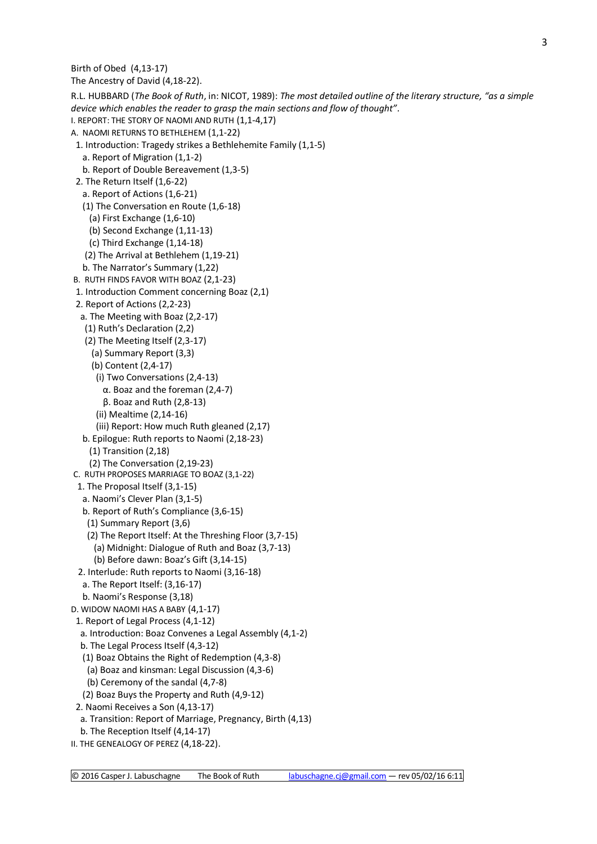The Ancestry of David (4,18-22). R.L. HUBBARD (*The Book of Ruth*, in: NICOT, 1989): *The most detailed outline of the literary structure, "as a simple device which enables the reader to grasp the main sections and flow of thought".* I. REPORT: THE STORY OF NAOMI AND RUTH (1,1-4,17) A. NAOMI RETURNS TO BETHLEHEM (1,1-22) 1. Introduction: Tragedy strikes a Bethlehemite Family (1,1-5) a. Report of Migration (1,1-2) b. Report of Double Bereavement (1,3-5) 2. The Return Itself (1,6-22) a. Report of Actions (1,6-21) (1) The Conversation en Route (1,6-18) (a) First Exchange (1,6-10) (b) Second Exchange (1,11-13) (c) Third Exchange (1,14-18) (2) The Arrival at Bethlehem (1,19-21) b. The Narrator's Summary (1,22) B. RUTH FINDS FAVOR WITH BOAZ (2,1-23) 1. Introduction Comment concerning Boaz (2,1) 2. Report of Actions (2,2-23) a. The Meeting with Boaz (2,2-17) (1) Ruth's Declaration (2,2) (2) The Meeting Itself (2,3-17) (a) Summary Report (3,3) (b) Content (2,4-17) (i) Two Conversations (2,4-13) α. Boaz and the foreman (2,4-7) β. Boaz and Ruth (2,8-13) (ii) Mealtime (2,14-16) (iii) Report: How much Ruth gleaned (2,17) b. Epilogue: Ruth reports to Naomi (2,18-23) (1) Transition (2,18) (2) The Conversation (2,19-23) C. RUTH PROPOSES MARRIAGE TO BOAZ (3,1-22) 1. The Proposal Itself (3,1-15) a. Naomi's Clever Plan (3,1-5) b. Report of Ruth's Compliance (3,6-15) (1) Summary Report (3,6) (2) The Report Itself: At the Threshing Floor (3,7-15) (a) Midnight: Dialogue of Ruth and Boaz (3,7-13) (b) Before dawn: Boaz's Gift (3,14-15) 2. Interlude: Ruth reports to Naomi (3,16-18) a. The Report Itself: (3,16-17) b. Naomi's Response (3,18) D. WIDOW NAOMI HAS A BABY (4,1-17) 1. Report of Legal Process (4,1-12) a. Introduction: Boaz Convenes a Legal Assembly (4,1-2) b. The Legal Process Itself (4,3-12) (1) Boaz Obtains the Right of Redemption (4,3-8) (a) Boaz and kinsman: Legal Discussion (4,3-6) (b) Ceremony of the sandal (4,7-8) (2) Boaz Buys the Property and Ruth (4,9-12) 2. Naomi Receives a Son (4,13-17) a. Transition: Report of Marriage, Pregnancy, Birth (4,13) b. The Reception Itself (4,14-17)

II. THE GENEALOGY OF PEREZ (4,18-22).

Birth of Obed (4,13-17)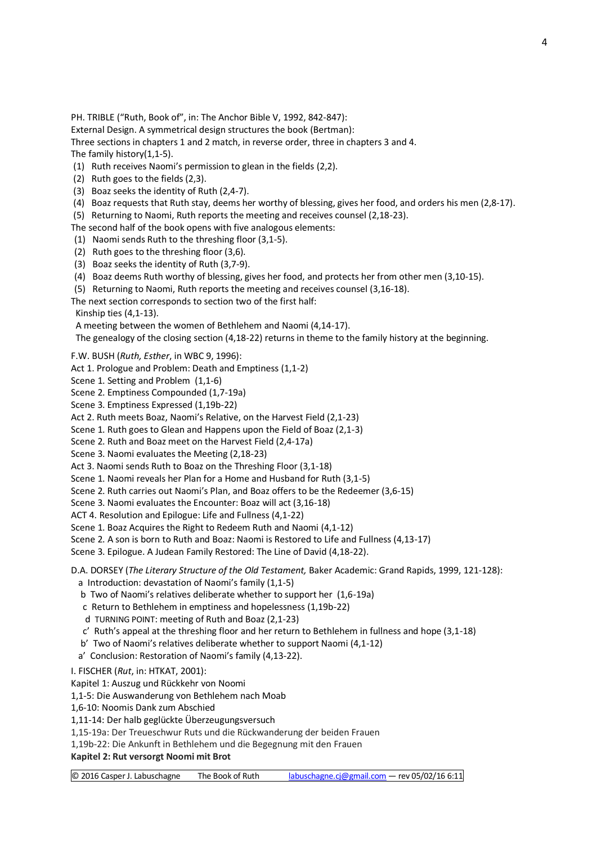PH. TRIBLE ("Ruth, Book of", in: The Anchor Bible V, 1992, 842-847):

External Design. A symmetrical design structures the book (Bertman):

Three sections in chapters 1 and 2 match, in reverse order, three in chapters 3 and 4. The family history(1,1-5).

(1) Ruth receives Naomi's permission to glean in the fields (2,2).

- (2) Ruth goes to the fields (2,3).
- (3) Boaz seeks the identity of Ruth (2,4-7).
- (4) Boaz requests that Ruth stay, deems her worthy of blessing, gives her food, and orders his men (2,8-17).

(5) Returning to Naomi, Ruth reports the meeting and receives counsel (2,18-23).

The second half of the book opens with five analogous elements:

- (1) Naomi sends Ruth to the threshing floor (3,1-5).
- (2) Ruth goes to the threshing floor (3,6).
- (3) Boaz seeks the identity of Ruth (3,7-9).
- (4) Boaz deems Ruth worthy of blessing, gives her food, and protects her from other men (3,10-15).
- (5) Returning to Naomi, Ruth reports the meeting and receives counsel (3,16-18).

The next section corresponds to section two of the first half:

Kinship ties (4,1-13).

A meeting between the women of Bethlehem and Naomi (4,14-17).

The genealogy of the closing section (4,18-22) returns in theme to the family history at the beginning.

F.W. BUSH (*Ruth, Esther*, in WBC 9, 1996):

Act 1. Prologue and Problem: Death and Emptiness (1,1-2)

Scene 1. Setting and Problem (1,1-6)

Scene 2. Emptiness Compounded (1,7-19a)

Scene 3. Emptiness Expressed (1,19b-22)

Act 2. Ruth meets Boaz, Naomi's Relative, on the Harvest Field (2,1-23)

Scene 1. Ruth goes to Glean and Happens upon the Field of Boaz (2,1-3)

Scene 2. Ruth and Boaz meet on the Harvest Field (2,4-17a)

Scene 3. Naomi evaluates the Meeting (2,18-23)

Act 3. Naomi sends Ruth to Boaz on the Threshing Floor (3,1-18)

Scene 1. Naomi reveals her Plan for a Home and Husband for Ruth (3,1-5)

Scene 2. Ruth carries out Naomi's Plan, and Boaz offers to be the Redeemer (3,6-15)

Scene 3. Naomi evaluates the Encounter: Boaz will act (3,16-18)

ACT 4. Resolution and Epilogue: Life and Fullness (4,1-22)

Scene 1. Boaz Acquires the Right to Redeem Ruth and Naomi (4,1-12)

Scene 2. A son is born to Ruth and Boaz: Naomi is Restored to Life and Fullness (4,13-17)

Scene 3. Epilogue. A Judean Family Restored: The Line of David (4,18-22).

D.A. DORSEY (*The Literary Structure of the Old Testament,* Baker Academic: Grand Rapids, 1999, 121-128):

a Introduction: devastation of Naomi's family (1,1-5)

b Two of Naomi's relatives deliberate whether to support her (1,6-19a)

c Return to Bethlehem in emptiness and hopelessness (1,19b-22)

d TURNING POINT: meeting of Ruth and Boaz (2,1-23)

c' Ruth's appeal at the threshing floor and her return to Bethlehem in fullness and hope (3,1-18)

b' Two of Naomi's relatives deliberate whether to support Naomi (4,1-12)

a' Conclusion: Restoration of Naomi's family (4,13-22).

I. FISCHER (*Rut*, in: HTKAT, 2001):

Kapitel 1: Auszug und Rückkehr von Noomi

1,1-5: Die Auswanderung von Bethlehem nach Moab

1,6-10: Noomis Dank zum Abschied

1,11-14: Der halb geglückte Überzeugungsversuch

1,15-19a: Der Treueschwur Ruts und die Rückwanderung der beiden Frauen

1,19b-22: Die Ankunft in Bethlehem und die Begegnung mit den Frauen

**Kapitel 2: Rut versorgt Noomi mit Brot**

© 2016 Casper J. Labuschagne The Book of Ruth [labuschagne.cj@gmail.com](mailto:labuschagne.cj@gmail.com) — rev 05/02/16 6:11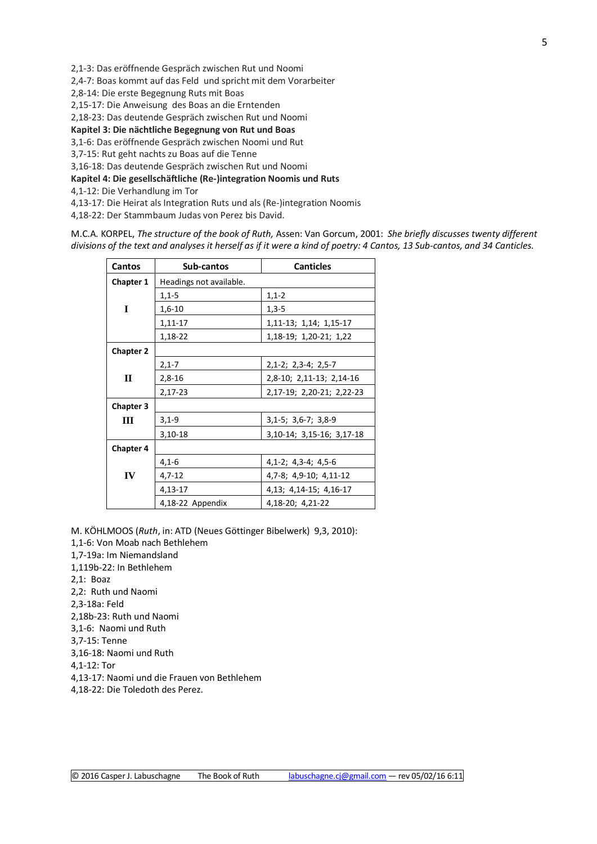2,1-3: Das eröffnende Gespräch zwischen Rut und Noomi

2,4-7: Boas kommt auf das Feld und spricht mit dem Vorarbeiter

2,8-14: Die erste Begegnung Ruts mit Boas

2,15-17: Die Anweisung des Boas an die Erntenden

2,18-23: Das deutende Gespräch zwischen Rut und Noomi

**Kapitel 3: Die nächtliche Begegnung von Rut und Boas**

3,1-6: Das eröffnende Gespräch zwischen Noomi und Rut

3,7-15: Rut geht nachts zu Boas auf die Tenne

3,16-18: Das deutende Gespräch zwischen Rut und Noomi

**Kapitel 4: Die gesellschäftliche (Re-)integration Noomis und Ruts**

4,1-12: Die Verhandlung im Tor

4,13-17: Die Heirat als Integration Ruts und als (Re-)integration Noomis

4,18-22: Der Stammbaum Judas von Perez bis David.

M.C.A. KORPEL, *The structure of the book of Ruth,* Assen: Van Gorcum, 2001: *She briefly discusses twenty different divisions of the text and analyses it herself as if it were a kind of poetry: 4 Cantos, 13 Sub-cantos, and 34 Canticles.*

| Cantos           | Sub-cantos              | <b>Canticles</b>              |  |  |  |  |
|------------------|-------------------------|-------------------------------|--|--|--|--|
| Chapter 1        | Headings not available. |                               |  |  |  |  |
|                  | $1,1-5$                 | $1,1-2$                       |  |  |  |  |
| I                | $1,6-10$                | $1,3-5$                       |  |  |  |  |
|                  | 1,11-17                 | 1, 11 - 13; 1, 14; 1, 15 - 17 |  |  |  |  |
|                  | 1,18-22                 | 1,18-19; 1,20-21; 1,22        |  |  |  |  |
| <b>Chapter 2</b> |                         |                               |  |  |  |  |
|                  | $2,1-7$                 | $2,1-2; 2,3-4; 2,5-7$         |  |  |  |  |
| $\mathbf{I}$     | $2,8-16$                | 2,8-10; 2,11-13; 2,14-16      |  |  |  |  |
|                  | 2,17-23                 | 2,17-19; 2,20-21; 2,22-23     |  |  |  |  |
| <b>Chapter 3</b> |                         |                               |  |  |  |  |
| III              | $3,1-9$                 | $3,1-5$ ; $3,6-7$ ; $3,8-9$   |  |  |  |  |
|                  | 3,10-18                 | 3, 10-14; 3, 15-16; 3, 17-18  |  |  |  |  |
| <b>Chapter 4</b> |                         |                               |  |  |  |  |
|                  | $4,1-6$                 | $4,1-2$ ; $4,3-4$ ; $4,5-6$   |  |  |  |  |
| IV               | $4,7-12$                | 4,7-8; 4,9-10; 4,11-12        |  |  |  |  |
|                  | 4,13-17                 | 4, 13; 4, 14-15; 4, 16-17     |  |  |  |  |
|                  | 4,18-22 Appendix        | 4,18-20; 4,21-22              |  |  |  |  |

M. KÖHLMOOS (*Ruth*, in: ATD (Neues Göttinger Bibelwerk) 9,3, 2010):

1,1-6: Von Moab nach Bethlehem

1,7-19a: Im Niemandsland

1,119b-22: In Bethlehem

2,1: Boaz

2,2: Ruth und Naomi

2,3-18a: Feld

2,18b-23: Ruth und Naomi

3,1-6: Naomi und Ruth

3,7-15: Tenne

3,16-18: Naomi und Ruth

4,1-12: Tor

4,13-17: Naomi und die Frauen von Bethlehem

4,18-22: Die Toledoth des Perez.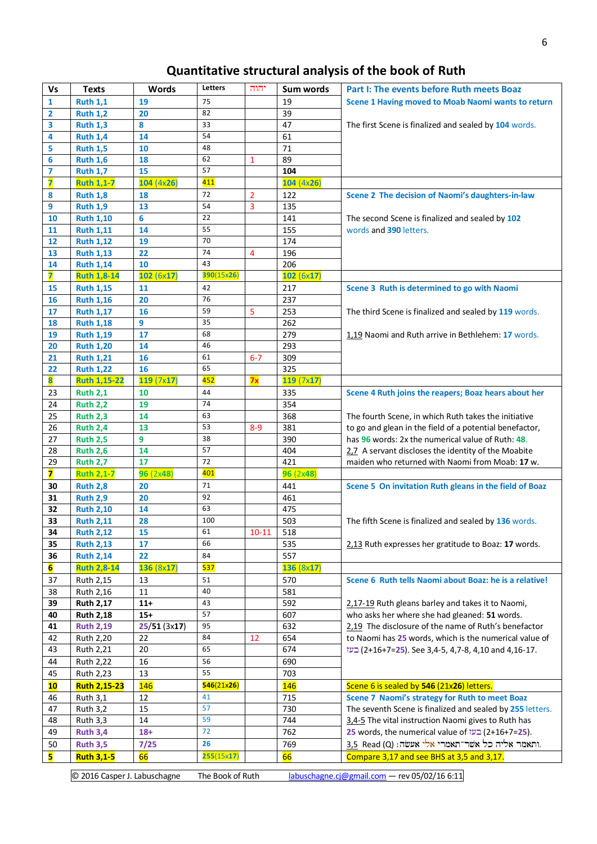# **Quantitative structural analysis of the book of Ruth**

| <b>Vs</b> | <b>Texts</b>        | <b>Words</b> | Letters          | יהוה      | Sum words  | Part I: The events before Ruth meets Boaz                 |
|-----------|---------------------|--------------|------------------|-----------|------------|-----------------------------------------------------------|
| 1         | <b>Ruth 1,1</b>     | 19           | 75               |           | 19         | Scene 1 Having moved to Moab Naomi wants to return        |
| 2         | <b>Ruth 1,2</b>     | 20           | 82               |           | 39         |                                                           |
| 3         | <b>Ruth 1,3</b>     | 8            | 33               |           | 47         | The first Scene is finalized and sealed by 104 words.     |
| 4         | <b>Ruth 1,4</b>     | 14           | 54               |           | 61         |                                                           |
| 5         | <b>Ruth 1,5</b>     | 10           | 48               |           | 71         |                                                           |
| 6         | <b>Ruth 1,6</b>     | 18           | 62               | 1         | 89         |                                                           |
| 7         | <b>Ruth 1,7</b>     | 15           | 57               |           | 104        |                                                           |
| 7         | <b>Ruth 1,1-7</b>   | 104(4x26)    | 411              |           | 104(4x26)  |                                                           |
| 8         | <b>Ruth 1,8</b>     | 18           | 72               | 2         | 122        | Scene 2 The decision of Naomi's daughters-in-law          |
| 9         | <b>Ruth 1,9</b>     | 13           | 54               | 3         | 135        |                                                           |
| 10        | <b>Ruth 1,10</b>    | 6            | 22               |           | 141        | The second Scene is finalized and sealed by 102           |
| 11        | <b>Ruth 1,11</b>    | 14           | 55               |           | 155        | words and 390 letters.                                    |
| 12        | <b>Ruth 1,12</b>    | 19           | 70               |           | 174        |                                                           |
| 13        | <b>Ruth 1,13</b>    | 22           | 74               | 4         | 196        |                                                           |
| 14        | <b>Ruth 1,14</b>    | 10           | 43               |           | 206        |                                                           |
| 7         | <b>Ruth 1,8-14</b>  | 102(6x17)    | 390(15x26)       |           | 102(6x17)  |                                                           |
| 15        | <b>Ruth 1,15</b>    | 11           | 42               |           | 217        | Scene 3 Ruth is determined to go with Naomi               |
| 16        | <b>Ruth 1,16</b>    | 20           | 76               |           | 237        |                                                           |
| 17        | <b>Ruth 1,17</b>    | 16           | 59               | 5         | 253        | The third Scene is finalized and sealed by 119 words.     |
| 18        | <b>Ruth 1,18</b>    | 9            | 35               |           | 262        |                                                           |
| 19        | <b>Ruth 1,19</b>    | 17           | 68               |           | 279        | 1,19 Naomi and Ruth arrive in Bethlehem: 17 words.        |
| 20        | <b>Ruth 1,20</b>    | 14           | 46               |           | 293        |                                                           |
| 21        | <b>Ruth 1,21</b>    | 16           | 61               | $6-7$     | 309        |                                                           |
| 22        | <b>Ruth 1,22</b>    | 16           | 65               |           | 325        |                                                           |
| 8         | <b>Ruth 1,15-22</b> | 119(7x17)    | 452              | 7x        | 119(7x17)  |                                                           |
| 23        | <b>Ruth 2,1</b>     | 10           | 44               |           | 335        | Scene 4 Ruth joins the reapers; Boaz hears about her      |
| 24        | <b>Ruth 2,2</b>     | 19           | $\overline{7}$ 4 |           | 354        |                                                           |
| 25        | <b>Ruth 2,3</b>     | 14           | 63               |           | 368        | The fourth Scene, in which Ruth takes the initiative      |
| 26        | <b>Ruth 2,4</b>     | 13           | 53               | $8 - 9$   | 381        | to go and glean in the field of a potential benefactor,   |
| 27        | <b>Ruth 2,5</b>     | 9            | 38               |           | 390        | has 96 words: 2x the numerical value of Ruth: 48.         |
| 28        | <b>Ruth 2,6</b>     | 14           | 57               |           | 404        | 2.7 A servant discloses the identity of the Moabite       |
| 29        | <b>Ruth 2,7</b>     | 17           | 72               |           | 421        | maiden who returned with Naomi from Moab: 17 w.           |
| 7         | <b>Ruth 2,1-7</b>   | 96(2x48)     | 401              |           | 96(2x48)   |                                                           |
| 30        | <b>Ruth 2,8</b>     | 20           | 71               |           | 441        | Scene 5 On invitation Ruth gleans in the field of Boaz    |
| 31        | <b>Ruth 2,9</b>     | 20           | 92               |           | 461        |                                                           |
| 32        | <b>Ruth 2,10</b>    | 14           | 63               |           | 475        |                                                           |
| 33        | <b>Ruth 2,11</b>    | 28           | 100              |           | 503        | The fifth Scene is finalized and sealed by 136 words.     |
| 34        | <b>Ruth 2,12</b>    | 15           | 61               | $10 - 11$ | 518        |                                                           |
| 35        | <b>Ruth 2,13</b>    | 17           | 66               |           | 535        | 2.13 Ruth expresses her gratitude to Boaz: 17 words.      |
| 36        | <b>Ruth 2,14</b>    | 22           | 84               |           | 557        |                                                           |
| 6         | <b>Ruth 2,8-14</b>  | 136 (8x17)   | 537              |           | 136(8x17)  |                                                           |
| 37        | Ruth 2,15           | 13           | 51               |           | 570        | Scene 6 Ruth tells Naomi about Boaz: he is a relative!    |
| 38        | Ruth 2,16           | 11           | 40               |           | 581        |                                                           |
| 39        | <b>Ruth 2,17</b>    | $11+$        | 43               |           | 592        | 2,17-19 Ruth gleans barley and takes it to Naomi,         |
| 40        | <b>Ruth 2,18</b>    | $15+$        | 57               |           | 607        | who asks her where she had gleaned: 51 words.             |
| 41        | <b>Ruth 2,19</b>    | 25/51(3x17)  | 95               |           | 632        | 2,19 The disclosure of the name of Ruth's benefactor      |
| 42        | Ruth 2,20           | 22           | 84               | 12        | 654        | to Naomi has 25 words, which is the numerical value of    |
| 43        | Ruth 2,21           | 20           | 65               |           | 674        | 16-17. (2+16+7=25). See 3,4-5, 4,7-8, 4,10 and 4,16-17.   |
| 44        | Ruth 2,22           | 16           | 56               |           | 690        |                                                           |
| 45        | Ruth 2,23           | 13           | 55               |           | 703        |                                                           |
| 10        | <b>Ruth 2,15-23</b> | <b>146</b>   | 546(21x26)       |           | <b>146</b> | Scene 6 is sealed by 546 (21x26) letters.                 |
| 46        | <b>Ruth 3,1</b>     | 12           | 41               |           | 715        | Scene 7 Naomi's strategy for Ruth to meet Boaz            |
| 47        | <b>Ruth 3,2</b>     | 15           | 57               |           | 730        | The seventh Scene is finalized and sealed by 255 letters. |
| 48        | <b>Ruth 3,3</b>     | 14           | 59               |           | 744        | 3,4-5 The vital instruction Naomi gives to Ruth has       |
| 49        | <b>Ruth 3,4</b>     | $18+$        | 72               |           | 762        | 25 words, the numerical value of בעז (2+16+7=25).         |
| 50        | <b>Ruth 3,5</b>     | 7/25         | 26               |           | 769        | ותאמר אליה כל אשר־תאמרי אלי אעשה: 3,5 Read (Q).           |
| 5         | <b>Ruth 3,1-5</b>   | 66           | 255(15x17)       |           | 66         | Compare 3,17 and see BHS at 3,5 and 3,17.                 |
|           |                     |              |                  |           |            |                                                           |

© 2016 Casper J. Labuschagne The Book of Ruth [labuschagne.cj@gmail.com](mailto:labuschagne.cj@gmail.com) - rev 05/02/16 6:11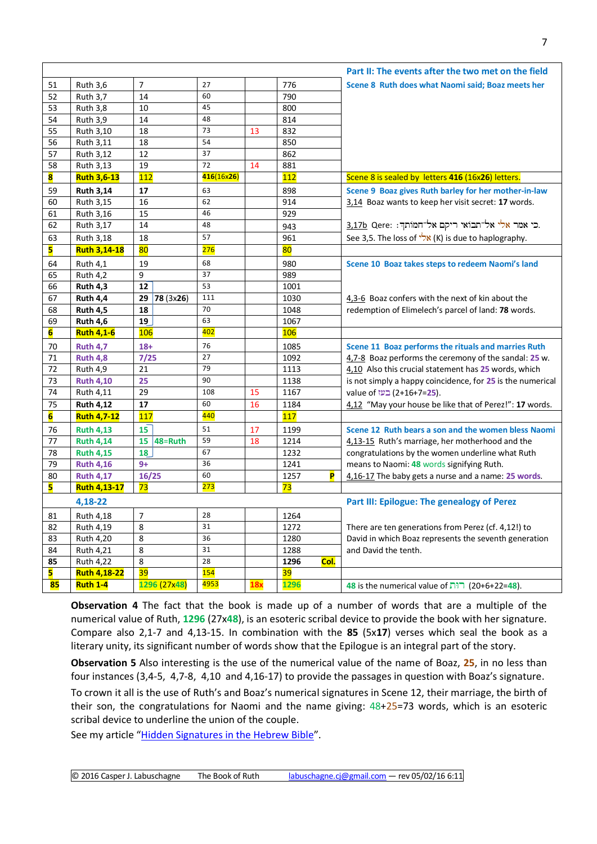|                 |                                  |                |            |    |            | Part II: The events after the two met on the field            |  |  |
|-----------------|----------------------------------|----------------|------------|----|------------|---------------------------------------------------------------|--|--|
| 51              | <b>Ruth 3,6</b>                  | 7              | 27         |    | 776        | Scene 8 Ruth does what Naomi said; Boaz meets her             |  |  |
| 52              | <b>Ruth 3,7</b>                  | 14             | 60         |    | 790        |                                                               |  |  |
| 53              | <b>Ruth 3,8</b>                  | 10             | 45         |    | 800        |                                                               |  |  |
| 54              | <b>Ruth 3,9</b>                  | 14             | 48         |    | 814        |                                                               |  |  |
| 55              | Ruth 3,10                        | 18             | 73         | 13 | 832        |                                                               |  |  |
| 56              | Ruth 3,11                        | 18             | 54         |    | 850        |                                                               |  |  |
| 57              | Ruth 3,12                        | 12             | 37         |    | 862        |                                                               |  |  |
| 58              | Ruth 3,13                        | 19             | 72         | 14 | 881        |                                                               |  |  |
| 8               | <b>Ruth 3,6-13</b>               | 112            | 416(16x26) |    | 112        | Scene 8 is sealed by letters 416 (16x26) letters.             |  |  |
| 59              | <b>Ruth 3,14</b>                 | 17             | 63         |    | 898        | Scene 9 Boaz gives Ruth barley for her mother-in-law          |  |  |
| 60              | Ruth 3,15                        | 16             | 62         |    | 914        | 3,14 Boaz wants to keep her visit secret: 17 words.           |  |  |
| 61              | Ruth 3,16                        | 15             | 46         |    | 929        |                                                               |  |  |
| 62              | Ruth 3,17                        | 14             | 48         |    | 943        | כי אמר אלי אל־תבוֹאי ריקם אל־חמותך: <u>3,17b</u> Qere:        |  |  |
| 63              | Ruth 3,18                        | 18             | 57         |    | 961        | See 3,5. The loss of $\sqrt[3]{x}$ (K) is due to haplography. |  |  |
| 5               | <b>Ruth 3,14-18</b>              | 80             | 276        |    | 80         |                                                               |  |  |
| 64              | <b>Ruth 4,1</b>                  | 19             | 68         |    | 980        | Scene 10 Boaz takes steps to redeem Naomi's land              |  |  |
| 65              | <b>Ruth 4,2</b>                  | 9              | 37         |    | 989        |                                                               |  |  |
| 66              | <b>Ruth 4,3</b>                  | 12             | 53         |    | 1001       |                                                               |  |  |
| 67              | <b>Ruth 4,4</b>                  | 29 78 (3x26)   | 111        |    | 1030       | 4,3-6 Boaz confers with the next of kin about the             |  |  |
| 68              | <b>Ruth 4,5</b>                  | 18             | 70         |    | 1048       | redemption of Elimelech's parcel of land: 78 words.           |  |  |
| 69              | <b>Ruth 4,6</b>                  | 19             | 63         |    | 1067       |                                                               |  |  |
| $6\overline{6}$ | <b>Ruth 4,1-6</b>                | <b>106</b>     | 402        |    | 106        |                                                               |  |  |
| 70              | <b>Ruth 4,7</b>                  | $18+$          | 76         |    | 1085       | Scene 11 Boaz performs the rituals and marries Ruth           |  |  |
| 71              | <b>Ruth 4,8</b>                  | 7/25           | 27         |    | 1092       | 4,7-8 Boaz performs the ceremony of the sandal: 25 w.         |  |  |
| 72              | <b>Ruth 4,9</b>                  | 21             | 79         |    | 1113       | 4,10 Also this crucial statement has 25 words, which          |  |  |
| 73              | <b>Ruth 4,10</b>                 | 25             | 90         |    | 1138       | is not simply a happy coincidence, for 25 is the numerical    |  |  |
| 74              | Ruth 4,11                        | 29             | 108        | 15 | 1167       | value of <u>בעז</u> (2+16+7=25).                              |  |  |
| 75              | <b>Ruth 4,12</b>                 | 17             | 60         | 16 | 1184       | 4,12 "May your house be like that of Perez!": 17 words.       |  |  |
| $6\overline{6}$ | <b>Ruth 4,7-12</b>               | 117            | 440        |    | 117        |                                                               |  |  |
| 76              | <b>Ruth 4,13</b>                 | 15             | 51         | 17 | 1199       | Scene 12 Ruth bears a son and the women bless Naomi           |  |  |
| 77              | <b>Ruth 4,14</b>                 | 15 $ 48=$ Ruth | 59         | 18 | 1214       | 4,13-15 Ruth's marriage, her motherhood and the               |  |  |
| 78              | <b>Ruth 4,15</b>                 | 18             | 67         |    | 1232       | congratulations by the women underline what Ruth              |  |  |
| 79              | <b>Ruth 4,16</b>                 | $9+$           | 36         |    | 1241       | means to Naomi: 48 words signifying Ruth.                     |  |  |
| 80              | <b>Ruth 4,17</b>                 | 16/25          | 60         |    | 1257<br>P  | 4,16-17 The baby gets a nurse and a name: 25 words.           |  |  |
| 5               | <b>Ruth 4,13-17</b>              | 73             | 273        |    | 73         |                                                               |  |  |
|                 | 4,18-22                          |                |            |    |            | Part III: Epilogue: The genealogy of Perez                    |  |  |
| 81              | Ruth 4,18                        | $\overline{7}$ | 28         |    | 1264       |                                                               |  |  |
| 82              | Ruth 4,19                        | 8              | 31         |    | 1272       | There are ten generations from Perez (cf. 4,12!) to           |  |  |
| 83              | Ruth 4,20                        | 8              | 36         |    | 1280       | David in which Boaz represents the seventh generation         |  |  |
| 84              | Ruth 4,21                        | 8              | 31         |    | 1288       | and David the tenth.                                          |  |  |
| 85              |                                  |                | 28         |    | Col.       |                                                               |  |  |
|                 |                                  |                |            |    |            |                                                               |  |  |
| 5               | Ruth 4,22<br><b>Ruth 4,18-22</b> | 8<br>39        | 154        |    | 1296<br>39 |                                                               |  |  |

**Observation 4** The fact that the book is made up of a number of words that are a multiple of the numerical value of Ruth, **1296** (27x**48**), is an esoteric scribal device to provide the book with her signature. Compare also 2,1-7 and 4,13-15. In combination with the **85** (5x**17**) verses which seal the book as a literary unity, its significant number of words show that the Epilogue is an integral part of the story.

**Observation 5** Also interesting is the use of the numerical value of the name of Boaz, **25**, in no less than four instances (3,4-5, 4,7-8, 4,10 and 4,16-17) to provide the passages in question with Boaz's signature.

To crown it all is the use of Ruth's and Boaz's numerical signatures in Scene 12, their marriage, the birth of their son, the congratulations for Naomi and the name giving: 48+25=73 words, which is an esoteric scribal device to underline the union of the couple.

See my article "[Hidden Signatures in the Hebrew Bible](http://www.labuschagne.nl/articles/Hiddensignatures.pdf)".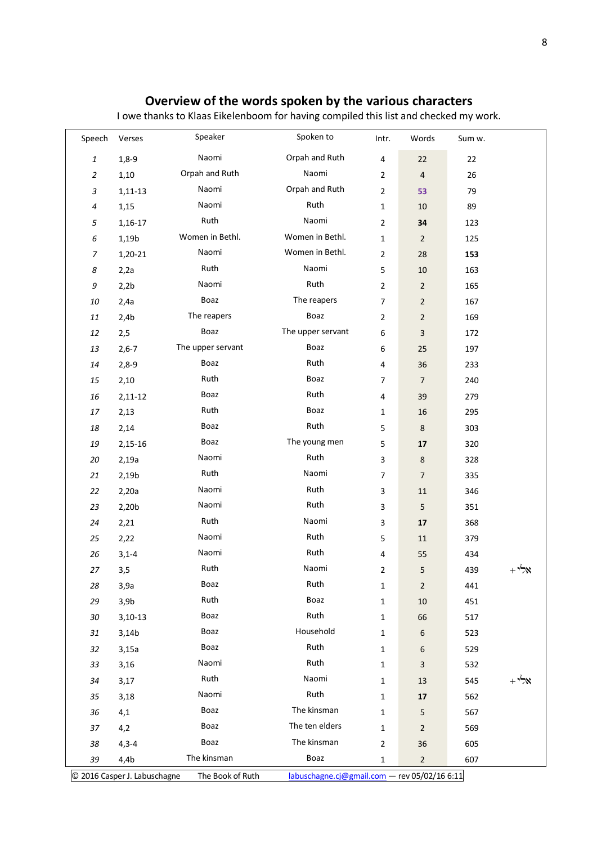## **Overview of the words spoken by the various characters**

I owe thanks to Klaas Eikelenboom for having compiled this list and checked my work.

| Speech                    | Verses           | Speaker                                    | Spoken to                | Intr.          | Words           | Sum w. |       |
|---------------------------|------------------|--------------------------------------------|--------------------------|----------------|-----------------|--------|-------|
| $\pmb{\mathit{1}}$        | $1,8-9$          | Naomi                                      | Orpah and Ruth           | 4              | 22              | 22     |       |
| $\sqrt{2}$                | 1,10             | Orpah and Ruth                             | Naomi                    | $\overline{2}$ | $\sqrt{4}$      | 26     |       |
| $\ensuremath{\mathsf{3}}$ | $1,11-13$        | Naomi                                      | Orpah and Ruth           | $\overline{2}$ | 53              | 79     |       |
| $\pmb{4}$                 | 1,15             | Naomi                                      | Ruth                     | $\mathbf{1}$   | 10              | 89     |       |
| 5                         | $1,16-17$        | Ruth                                       | Naomi                    | $\overline{2}$ | 34              | 123    |       |
| $\epsilon$                | 1,19b            | Women in Bethl.                            | Women in Bethl.          | $\mathbf{1}$   | $\overline{2}$  | 125    |       |
| $\boldsymbol{7}$          | 1,20-21          | Naomi                                      | Women in Bethl.          | $\overline{2}$ | 28              | 153    |       |
| 8                         | 2,2a             | Ruth                                       | Naomi                    | 5              | $10\,$          | 163    |       |
| 9                         | 2,2b             | Naomi                                      | Ruth                     | $\overline{2}$ | $\overline{2}$  | 165    |       |
| 10                        | 2,4a             | Boaz                                       | The reapers              | $\overline{7}$ | $\overline{2}$  | 167    |       |
| $11\,$                    | 2,4b             | The reapers                                | Boaz                     | $\overline{2}$ | $\overline{2}$  | 169    |       |
| 12                        | 2,5              | Boaz                                       | The upper servant        | 6              | 3               | 172    |       |
| 13                        | $2,6-7$          | The upper servant                          | Boaz                     | 6              | 25              | 197    |       |
| 14                        | $2,8-9$          | Boaz                                       | Ruth                     | 4              | 36              | 233    |       |
| 15                        | 2,10             | Ruth                                       | Boaz                     | $\overline{7}$ | $\overline{7}$  | 240    |       |
| 16                        | $2,11-12$        | Boaz                                       | Ruth                     | 4              | 39              | 279    |       |
| 17                        | 2,13             | Ruth                                       | Boaz                     | $\mathbf{1}$   | 16              | 295    |       |
| 18                        | 2,14             | Boaz                                       | Ruth                     | 5              | $\bf 8$         | 303    |       |
| 19                        | 2,15-16          | Boaz                                       | The young men            | 5              | 17              | 320    |       |
| 20                        | 2,19a            | Naomi                                      | Ruth                     | 3              | $\bf 8$         | 328    |       |
| 21                        | 2,19b            | Ruth                                       | Naomi                    | 7              | $\overline{7}$  | 335    |       |
| 22                        | 2,20a            | Naomi                                      | Ruth                     | 3              | $11\,$          | 346    |       |
| 23                        | 2,20b            | Naomi                                      | Ruth                     | 3              | 5               | 351    |       |
| 24                        | 2,21             | Ruth                                       | Naomi                    | 3              | $17\,$          | 368    |       |
| 25                        | 2,22             | Naomi                                      | Ruth                     | 5              | 11              | 379    |       |
| 26                        | $3,1-4$          | Naomi                                      | Ruth                     | 4              | 55              | 434    |       |
| 27                        | 3,5              | Ruth                                       | Naomi                    | $\overline{2}$ | 5               | 439    | אלי + |
| 28                        | 3,9a             | Boaz                                       | Ruth                     | $\mathbf{1}$   | $\overline{2}$  | 441    |       |
| 29                        | 3,9 <sub>b</sub> | Ruth                                       | Boaz                     | $\mathbf{1}$   | 10              | 451    |       |
| 30                        | $3,10-13$        | Boaz                                       | Ruth                     | $\mathbf{1}$   | 66              | 517    |       |
| 31                        | 3,14b            | Boaz                                       | Household                | $\mathbf{1}$   | 6               | 523    |       |
| 32                        | 3,15a            | Boaz                                       | Ruth                     | $\mathbf{1}$   | 6               | 529    |       |
| 33                        | 3,16             | Naomi                                      | Ruth                     | $\mathbf{1}$   | 3               | 532    |       |
| 34                        | 3,17             | Ruth                                       | Naomi                    | $\mathbf{1}$   | 13              | 545    |       |
| 35                        | 3,18             | Naomi                                      | Ruth                     | $\mathbf{1}$   | $17\,$          | 562    |       |
| 36                        | 4,1              | Boaz                                       | The kinsman              | $\mathbf{1}$   | 5               | 567    |       |
| 37                        | 4,2              | Boaz                                       | The ten elders           | $\mathbf{1}$   | $\sqrt{2}$      | 569    |       |
| 38                        | $4,3 - 4$        | Boaz                                       | The kinsman              | 2              | 36              | 605    |       |
| 39                        | 4,4b             | The kinsman                                | Boaz                     | 1              | $\overline{2}$  | 607    |       |
| $0.2016$ Caspar Light     |                  | The <b>Book</b> of <b>But</b><br>معمماء مر | Inhusahagaa aj@gmail.com |                | 20105/02/166/11 |        |       |

© 2016 Casper J. Labuschagne The Book of Ruth [labuschagne.cj@gmail.com](mailto:labuschagne.cj@gmail.com) - rev 05/02/16 6:11